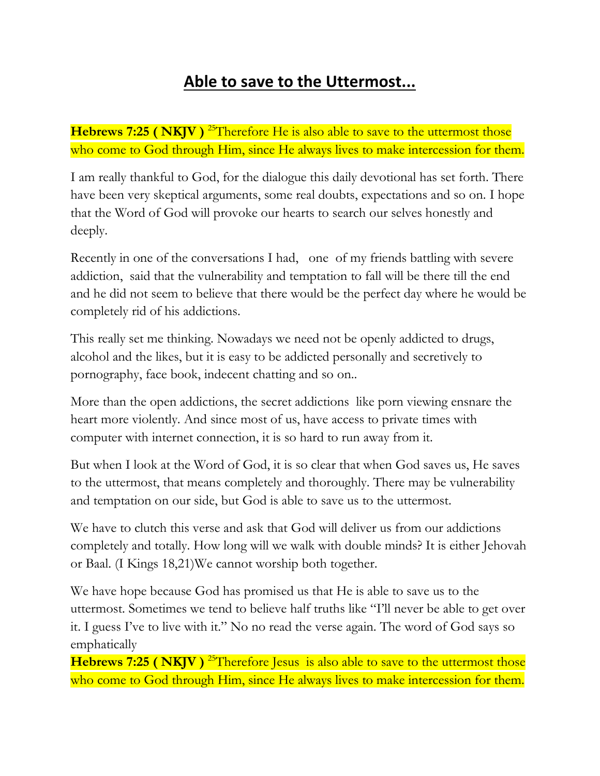## **Able to save to the Uttermost...**

**Hebrews 7:25 ( NKJV** )<sup>25</sup>Therefore He is also able to save to the uttermost those who come to God through Him, since He always lives to make intercession for them.

I am really thankful to God, for the dialogue this daily devotional has set forth. There have been very skeptical arguments, some real doubts, expectations and so on. I hope that the Word of God will provoke our hearts to search our selves honestly and deeply.

Recently in one of the conversations I had, one of my friends battling with severe addiction, said that the vulnerability and temptation to fall will be there till the end and he did not seem to believe that there would be the perfect day where he would be completely rid of his addictions.

This really set me thinking. Nowadays we need not be openly addicted to drugs, alcohol and the likes, but it is easy to be addicted personally and secretively to pornography, face book, indecent chatting and so on..

More than the open addictions, the secret addictions like porn viewing ensnare the heart more violently. And since most of us, have access to private times with computer with internet connection, it is so hard to run away from it.

But when I look at the Word of God, it is so clear that when God saves us, He saves to the uttermost, that means completely and thoroughly. There may be vulnerability and temptation on our side, but God is able to save us to the uttermost.

We have to clutch this verse and ask that God will deliver us from our addictions completely and totally. How long will we walk with double minds? It is either Jehovah or Baal. (I Kings 18,21)We cannot worship both together.

We have hope because God has promised us that He is able to save us to the uttermost. Sometimes we tend to believe half truths like "I'll never be able to get over it. I guess I've to live with it." No no read the verse again. The word of God says so emphatically

**Hebrews 7:25 ( NKJV**)<sup>25</sup>Therefore Jesus is also able to save to the uttermost those who come to God through Him, since He always lives to make intercession for them.